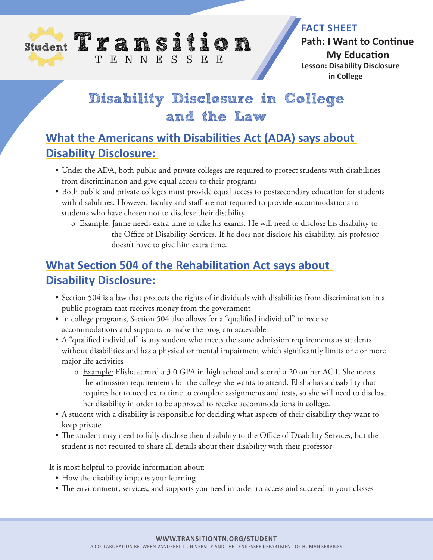

#### **FACT SHEET**

**Path: I Want to Continue My Education Lesson: Disability Disclosure in College**

# **Disability Disclosure in College and the Law**

## **What the Americans with Disabilities Act (ADA) says about Disability Disclosure:**

- Under the ADA, both public and private colleges are required to protect students with disabilities from discrimination and give equal access to their programs
- Both public and private colleges must provide equal access to postsecondary education for students with disabilities. However, faculty and staff are not required to provide accommodations to students who have chosen not to disclose their disability
	- o Example: Jaime needs extra time to take his exams. He will need to disclose his disability to the Office of Disability Services. If he does not disclose his disability, his professor doesn't have to give him extra time.

## **What Section 504 of the Rehabilitation Act says about Disability Disclosure:**

- Section 504 is a law that protects the rights of individuals with disabilities from discrimination in a public program that receives money from the government
- In college programs, Section 504 also allows for a "qualified individual" to receive accommodations and supports to make the program accessible
- A "qualified individual" is any student who meets the same admission requirements as students without disabilities and has a physical or mental impairment which significantly limits one or more major life activities
	- o Example: Elisha earned a 3.0 GPA in high school and scored a 20 on her ACT. She meets the admission requirements for the college she wants to attend. Elisha has a disability that requires her to need extra time to complete assignments and tests, so she will need to disclose her disability in order to be approved to receive accommodations in college.
- A student with a disability is responsible for deciding what aspects of their disability they want to keep private
- The student may need to fully disclose their disability to the Office of Disability Services, but the student is not required to share all details about their disability with their professor

It is most helpful to provide information about:

- How the disability impacts your learning
- The environment, services, and supports you need in order to access and succeed in your classes

#### **WWW.TRANSITIONTN.ORG/STUDENT**